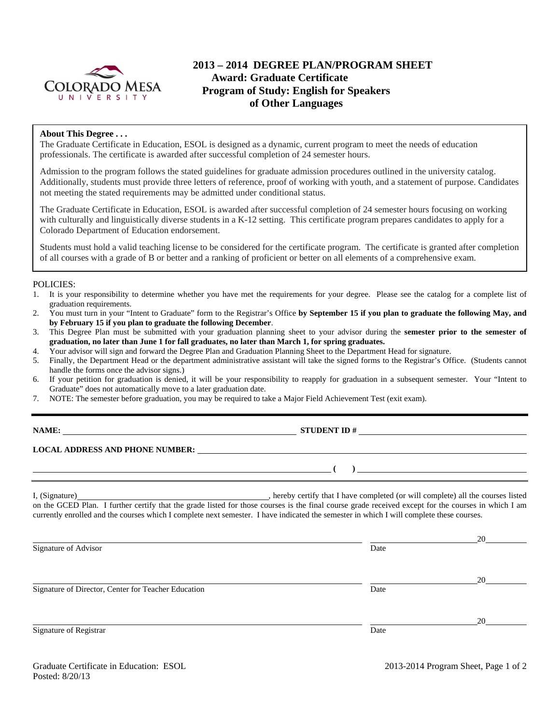

# **2013 – 2014 DEGREE PLAN/PROGRAM SHEET Award: Graduate Certificate Program of Study: English for Speakers of Other Languages**

### **About This Degree . . .**

The Graduate Certificate in Education, ESOL is designed as a dynamic, current program to meet the needs of education professionals. The certificate is awarded after successful completion of 24 semester hours.

Admission to the program follows the stated guidelines for graduate admission procedures outlined in the university catalog. Additionally, students must provide three letters of reference, proof of working with youth, and a statement of purpose. Candidates not meeting the stated requirements may be admitted under conditional status.

The Graduate Certificate in Education, ESOL is awarded after successful completion of 24 semester hours focusing on working with culturally and linguistically diverse students in a K-12 setting. This certificate program prepares candidates to apply for a Colorado Department of Education endorsement.

Students must hold a valid teaching license to be considered for the certificate program. The certificate is granted after completion of all courses with a grade of B or better and a ranking of proficient or better on all elements of a comprehensive exam.

### POLICIES:

- 1. It is your responsibility to determine whether you have met the requirements for your degree. Please see the catalog for a complete list of graduation requirements.
- 2. You must turn in your "Intent to Graduate" form to the Registrar's Office **by September 15 if you plan to graduate the following May, and by February 15 if you plan to graduate the following December**.
- 3. This Degree Plan must be submitted with your graduation planning sheet to your advisor during the **semester prior to the semester of graduation, no later than June 1 for fall graduates, no later than March 1, for spring graduates.**
- 4. Your advisor will sign and forward the Degree Plan and Graduation Planning Sheet to the Department Head for signature.
- 5. Finally, the Department Head or the department administrative assistant will take the signed forms to the Registrar's Office. (Students cannot handle the forms once the advisor signs.)
- 6. If your petition for graduation is denied, it will be your responsibility to reapply for graduation in a subsequent semester. Your "Intent to Graduate" does not automatically move to a later graduation date.

**STUDENT ID**  $#$ 

 **( )** 

7. NOTE: The semester before graduation, you may be required to take a Major Field Achievement Test (exit exam).

#### **LOCAL ADDRESS AND PHONE NUMBER:**

I, (Signature) , hereby certify that I have completed (or will complete) all the courses listed on the GCED Plan. I further certify that the grade listed for those courses is the final course grade received except for the courses in which I am currently enrolled and the courses which I complete next semester. I have indicated the semester in which I will complete these courses.

<u>20</u> Signature of Advisor Date **Date** <u>20</u> Signature of Director, Center for Teacher Education Date <u>20</u> Signature of Registrar Date Date and Security and Security and Security and Security and Security and Security and Date